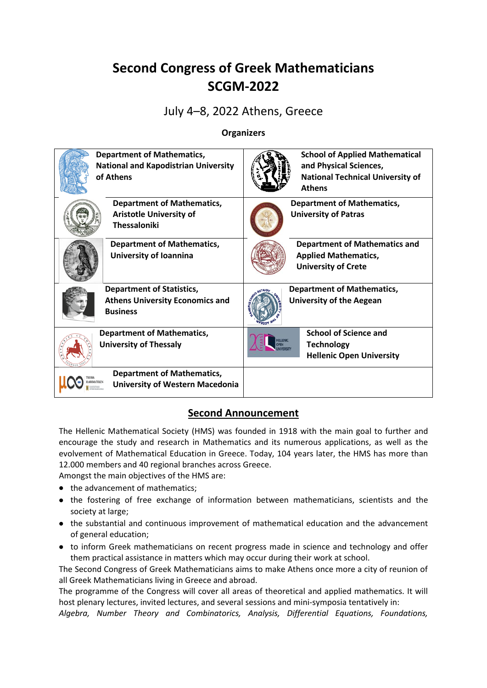# **Second Congress of Greek Mathematicians SCGM-2022**

## July 4–8, 2022 Athens, Greece

#### **Organizers**

| <b>Department of Mathematics,</b><br><b>National and Kapodistrian University</b><br>of Athens | <b>School of Applied Mathematical</b><br>and Physical Sciences,<br><b>National Technical University of</b><br><b>Athens</b> |
|-----------------------------------------------------------------------------------------------|-----------------------------------------------------------------------------------------------------------------------------|
| <b>Department of Mathematics,</b><br><b>Aristotle University of</b><br><b>Thessaloniki</b>    | <b>Department of Mathematics,</b><br><b>University of Patras</b>                                                            |
| <b>Department of Mathematics,</b><br>University of Ioannina                                   | <b>Department of Mathematics and</b><br><b>Applied Mathematics,</b><br><b>University of Crete</b>                           |
| <b>Department of Statistics,</b><br><b>Athens University Economics and</b><br><b>Business</b> | <b>Department of Mathematics,</b><br><b>University of the Aegean</b>                                                        |
| <b>Department of Mathematics,</b><br><b>University of Thessaly</b>                            | <b>School of Science and</b><br>HELLENIC<br><b>Technology</b><br><b>OPEN</b><br><b>Hellenic Open University</b>             |
| <b>Department of Mathematics,</b><br><b>University of Western Macedonia</b>                   |                                                                                                                             |

### **Second Announcement**

The Hellenic Mathematical Society (HMS) was founded in 1918 with the main goal to further and encourage the study and research in Mathematics and its numerous applications, as well as the evolvement of Mathematical Education in Greece. Today, 104 years later, the HMS has more than 12.000 members and 40 regional branches across Greece.

Amongst the main objectives of the HMS are:

- the advancement of mathematics;
- the fostering of free exchange of information between mathematicians, scientists and the society at large;
- the substantial and continuous improvement of mathematical education and the advancement of general education;
- to inform Greek mathematicians on recent progress made in science and technology and offer them practical assistance in matters which may occur during their work at school.

The Second Congress of Greek Mathematicians aims to make Athens once more a city of reunion of all Greek Mathematicians living in Greece and abroad.

The programme of the Congress will cover all areas of theoretical and applied mathematics. It will host plenary lectures, invited lectures, and several [sessions](http://www.7ecm.de/program/special_lectures.html) and mini-symposia tentatively in:

*Algebra, Number Theory and Combinatorics, Analysis, Differential Equations, Foundations,*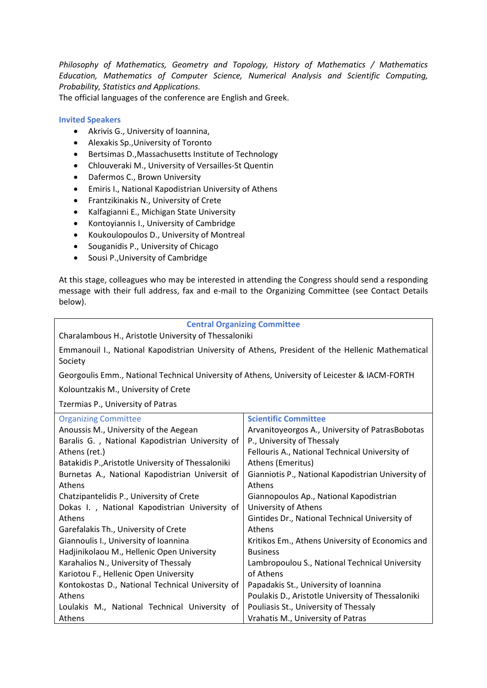*Philosophy of Mathematics, Geometry and Topology, History of Mathematics / Mathematics Education, Mathematics of Computer Science, Numerical Analysis and Scientific Computing, Probability, Statistics and Applications.*

The official languages of the conference are English and Greek.

#### **Invited Speakers**

- Akrivis G., University of Ioannina,
- Alexakis Sp.,University of Toronto
- **•** Bertsimas D., Massachusetts Institute of Technology
- Chlouveraki M., University of Versailles-St Quentin
- Dafermos C., Brown University
- Emiris I., National Kapodistrian University of Athens
- Frantzikinakis N., University of Crete
- Kalfagianni E., Michigan State University
- Kontoyiannis I., University of Cambridge
- Koukoulopoulos D., University of Montreal
- Souganidis P., University of Chicago
- Sousi P., University of Cambridge

At this stage, colleagues who may be interested in attending the Congress should send a responding message with their full address, fax and e-mail to the Organizing Committee (see Contact Details below).

#### **Central Organizing Committee**

Emmanouil I., National Kapodistrian University of Athens, President of the Hellenic Mathematical Society

Georgoulis Emm., National Technical University of Athens, University of Leicester & IACM-FORTH

Kolountzakis M., University of Crete

Tzermias P., University of Patras

| <b>Organizing Committee</b>                        | <b>Scientific Committee</b>                        |
|----------------------------------------------------|----------------------------------------------------|
| Anoussis M., University of the Aegean              | Arvanitoyeorgos A., University of PatrasBobotas    |
| Baralis G., National Kapodistrian University of    | P., University of Thessaly                         |
| Athens (ret.)                                      | Fellouris A., National Technical University of     |
| Batakidis P., Aristotle University of Thessaloniki | Athens (Emeritus)                                  |
| Burnetas A., National Kapodistrian Universit of    | Gianniotis P., National Kapodistrian University of |
| Athens                                             | Athens                                             |
| Chatzipantelidis P., University of Crete           | Giannopoulos Ap., National Kapodistrian            |
| Dokas I., National Kapodistrian University of      | University of Athens                               |
| <b>Athens</b>                                      | Gintides Dr., National Technical University of     |
| Garefalakis Th., University of Crete               | Athens                                             |
| Giannoulis I., University of Ioannina              | Kritikos Em., Athens University of Economics and   |
| Hadjinikolaou M., Hellenic Open University         | <b>Business</b>                                    |
| Karahalios N., University of Thessaly              | Lambropoulou S., National Technical University     |
| Kariotou F., Hellenic Open University              | of Athens                                          |
| Kontokostas D., National Technical University of   | Papadakis St., University of Ioannina              |
| <b>Athens</b>                                      | Poulakis D., Aristotle University of Thessaloniki  |
| Loulakis M., National Technical University of      | Pouliasis St., University of Thessaly              |
| Athens                                             | Vrahatis M., University of Patras                  |